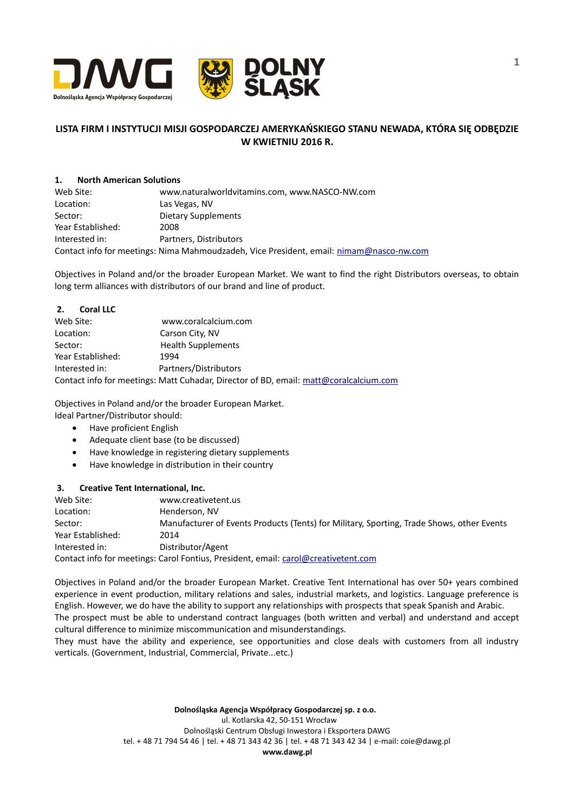

# **LISTA FIRM I INSTYTUCJI MISJI GOSPODARCZEJ AMERYKAŃSKIEGO STANU NEWADA, KTÓRA SIĘ ODBĘDZIE W KWIETNIU 2016 R.**

## **1. North American Solutions**

Web Site: www.naturalworldvitamins.com, www.NASCO-NW.com Location: Las Vegas, NV Sector: Dietary Supplements Year Established: 2008 Interested in: Partners, Distributors Contact info for meetings: Nima Mahmoudzadeh, Vice President, email: [nimam@nasco-nw.com](mailto:nimam@nasco-nw.com)

Objectives in Poland and/or the broader European Market. We want to find the right Distributors overseas, to obtain long term alliances with distributors of our brand and line of product.

| 2.<br><b>Coral LLC</b> |                                                                                       |
|------------------------|---------------------------------------------------------------------------------------|
| Web Site:              | www.coralcalcium.com                                                                  |
| Location:              | Carson City, NV                                                                       |
| Sector:                | <b>Health Supplements</b>                                                             |
| Year Established:      | 1994                                                                                  |
| Interested in:         | Partners/Distributors                                                                 |
|                        | Contact info for meetings: Matt Cuhadar, Director of BD, email: matt@coralcalcium.com |

Objectives in Poland and/or the broader European Market.

Ideal Partner/Distributor should:

- Have proficient English
- Adequate client base (to be discussed)
- Have knowledge in registering dietary supplements
- Have knowledge in distribution in their country

# **3. Creative Tent International, Inc.**

| Web Site:         | www.creativetent.us                                                                       |
|-------------------|-------------------------------------------------------------------------------------------|
| Location:         | Henderson, NV                                                                             |
| Sector:           | Manufacturer of Events Products (Tents) for Military, Sporting, Trade Shows, other Events |
| Year Established: | 2014                                                                                      |
| Interested in:    | Distributor/Agent                                                                         |
|                   | Contact info for meetings: Carol Fontius, President, email: carol@creativetent.com        |

Objectives in Poland and/or the broader European Market. Creative Tent International has over 50+ years combined experience in event production, military relations and sales, industrial markets, and logistics. Language preference is English. However, we do have the ability to support any relationships with prospects that speak Spanish and Arabic. The prospect must be able to understand contract languages (both written and verbal) and understand and accept cultural difference to minimize miscommunication and misunderstandings.

They must have the ability and experience, see opportunities and close deals with customers from all industry verticals. (Government, Industrial, Commercial, Private...etc.)

> **Dolnośląska Agencja Współpracy Gospodarczej sp. z o.o.**  ul. Kotlarska 42, 50-151 Wrocław Dolnośląski Centrum Obsługi Inwestora i Eksportera DAWG tel. + 48 71 794 54 46 | tel. + 48 71 343 42 36 | tel. + 48 71 343 42 34 | e-mail: coie@dawg.pl **www.dawg.pl**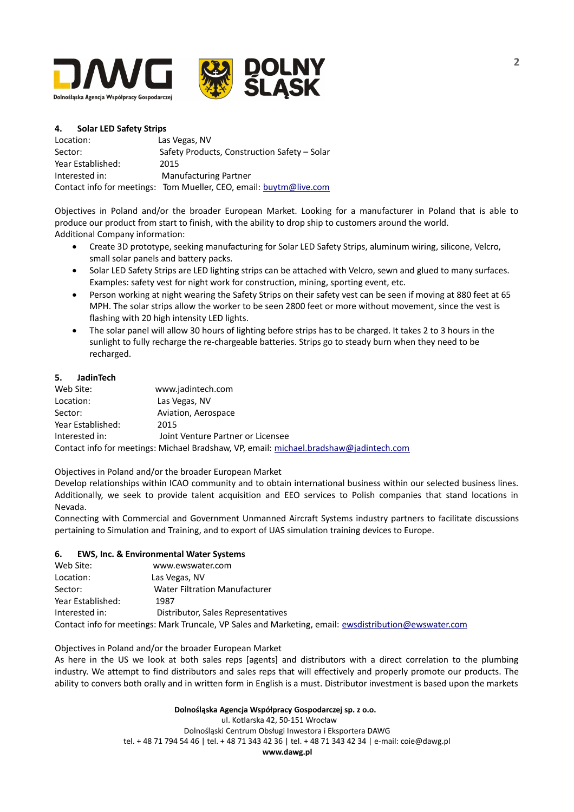

## **4. Solar LED Safety Strips**

| Location:         | Las Vegas, NV                                                      |
|-------------------|--------------------------------------------------------------------|
| Sector:           | Safety Products, Construction Safety - Solar                       |
| Year Established: | 2015                                                               |
| Interested in:    | <b>Manufacturing Partner</b>                                       |
|                   | Contact info for meetings: Tom Mueller, CEO, email: buytm@live.com |

Objectives in Poland and/or the broader European Market. Looking for a manufacturer in Poland that is able to produce our product from start to finish, with the ability to drop ship to customers around the world. Additional Company information:

- Create 3D prototype, seeking manufacturing for Solar LED Safety Strips, aluminum wiring, silicone, Velcro, small solar panels and battery packs.
- Solar LED Safety Strips are LED lighting strips can be attached with Velcro, sewn and glued to many surfaces. Examples: safety vest for night work for construction, mining, sporting event, etc.
- Person working at night wearing the Safety Strips on their safety vest can be seen if moving at 880 feet at 65 MPH. The solar strips allow the worker to be seen 2800 feet or more without movement, since the vest is flashing with 20 high intensity LED lights.
- The solar panel will allow 30 hours of lighting before strips has to be charged. It takes 2 to 3 hours in the sunlight to fully recharge the re-chargeable batteries. Strips go to steady burn when they need to be recharged.

### **5. JadinTech**

| Web Site:         | www.jadintech.com                                                                      |
|-------------------|----------------------------------------------------------------------------------------|
| Location:         | Las Vegas, NV                                                                          |
| Sector:           | Aviation, Aerospace                                                                    |
| Year Established: | 2015                                                                                   |
| Interested in:    | Joint Venture Partner or Licensee                                                      |
|                   | Contact info for meetings: Michael Bradshaw, VP, email: michael.bradshaw@jadintech.com |

Objectives in Poland and/or the broader European Market

Develop relationships within ICAO community and to obtain international business within our selected business lines. Additionally, we seek to provide talent acquisition and EEO services to Polish companies that stand locations in Nevada.

Connecting with Commercial and Government Unmanned Aircraft Systems industry partners to facilitate discussions pertaining to Simulation and Training, and to export of UAS simulation training devices to Europe.

#### **6. EWS, Inc. & Environmental Water Systems**

| Web Site:         | www.ewswater.com                                                                                      |
|-------------------|-------------------------------------------------------------------------------------------------------|
| Location:         | Las Vegas, NV                                                                                         |
| Sector:           | <b>Water Filtration Manufacturer</b>                                                                  |
| Year Established: | 1987                                                                                                  |
| Interested in:    | Distributor, Sales Representatives                                                                    |
|                   | Contact info for meetings: Mark Truncale, VP Sales and Marketing, email: ewsdistribution@ewswater.com |

Objectives in Poland and/or the broader European Market

As here in the US we look at both sales reps [agents] and distributors with a direct correlation to the plumbing industry. We attempt to find distributors and sales reps that will effectively and properly promote our products. The ability to convers both orally and in written form in English is a must. Distributor investment is based upon the markets

#### **Dolnośląska Agencja Współpracy Gospodarczej sp. z o.o.**

 ul. Kotlarska 42, 50-151 Wrocław Dolnośląski Centrum Obsługi Inwestora i Eksportera DAWG tel. + 48 71 794 54 46 | tel. + 48 71 343 42 36 | tel. + 48 71 343 42 34 | e-mail: coie@dawg.pl **www.dawg.pl**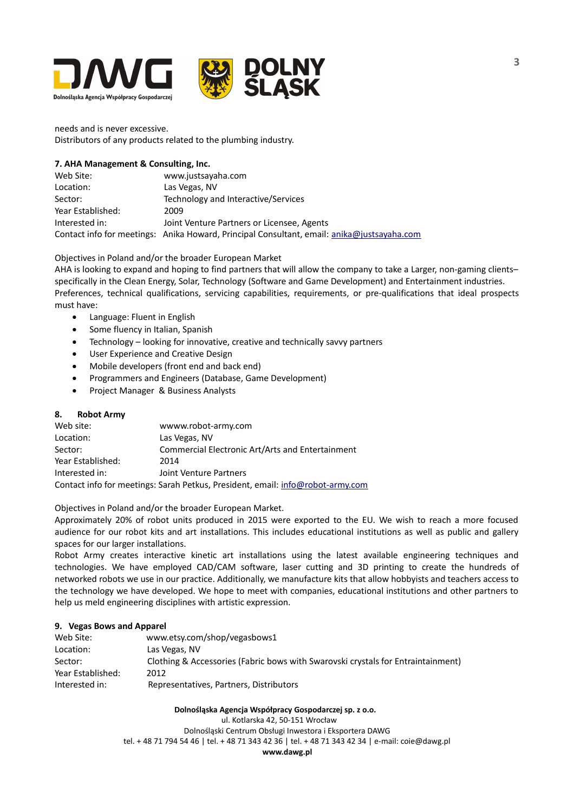

needs and is never excessive. Distributors of any products related to the plumbing industry.

## **7. AHA Management & Consulting, Inc.**

Web Site: www.justsayaha.com Location: Las Vegas, NV Sector: Technology and Interactive/Services Year Established: 2009 Interested in: Joint Venture Partners or Licensee, Agents Contact info for meetings: Anika Howard, Principal Consultant, email: [anika@justsayaha.com](mailto:anika@justsayaha.com)

# Objectives in Poland and/or the broader European Market

AHA is looking to expand and hoping to find partners that will allow the company to take a Larger, non-gaming clients– specifically in the Clean Energy, Solar, Technology (Software and Game Development) and Entertainment industries. Preferences, technical qualifications, servicing capabilities, requirements, or pre-qualifications that ideal prospects must have:

- Language: Fluent in English
- Some fluency in Italian, Spanish
- Technology looking for innovative, creative and technically savvy partners
- User Experience and Creative Design
- Mobile developers (front end and back end)
- Programmers and Engineers (Database, Game Development)
- Project Manager & Business Analysts

# **8. Robot Army**

| Web site:         | wwww.robot-army.com                                                            |
|-------------------|--------------------------------------------------------------------------------|
| Location:         | Las Vegas, NV                                                                  |
| Sector:           | Commercial Electronic Art/Arts and Entertainment                               |
| Year Established: | 2014                                                                           |
| Interested in:    | Joint Venture Partners                                                         |
|                   | Contact info for meetings: Sarah Petkus, President, email: info@robot-army.com |

Objectives in Poland and/or the broader European Market.

Approximately 20% of robot units produced in 2015 were exported to the EU. We wish to reach a more focused audience for our robot kits and art installations. This includes educational institutions as well as public and gallery spaces for our larger installations.

Robot Army creates interactive kinetic art installations using the latest available engineering techniques and technologies. We have employed CAD/CAM software, laser cutting and 3D printing to create the hundreds of networked robots we use in our practice. Additionally, we manufacture kits that allow hobbyists and teachers access to the technology we have developed. We hope to meet with companies, educational institutions and other partners to help us meld engineering disciplines with artistic expression.

# **9. Vegas Bows and Apparel**

| Web Site:         | www.etsy.com/shop/vegasbows1                                                     |
|-------------------|----------------------------------------------------------------------------------|
| Location:         | Las Vegas, NV                                                                    |
| Sector:           | Clothing & Accessories (Fabric bows with Swarovski crystals for Entraintainment) |
| Year Established: | 2012                                                                             |
| Interested in:    | Representatives, Partners, Distributors                                          |

#### **Dolnośląska Agencja Współpracy Gospodarczej sp. z o.o.**

ul. Kotlarska 42, 50-151 Wrocław

Dolnośląski Centrum Obsługi Inwestora i Eksportera DAWG tel. + 48 71 794 54 46 | tel. + 48 71 343 42 36 | tel. + 48 71 343 42 34 | e-mail: coie@dawg.pl

**www.dawg.pl**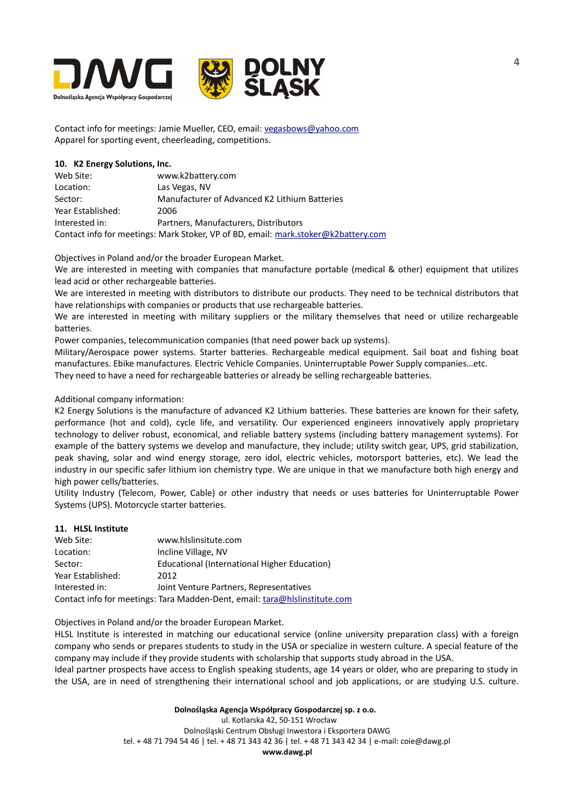

Contact info for meetings: Jamie Mueller, CEO, email: [vegasbows@yahoo.com](mailto:vegasbows@yahoo.com) Apparel for sporting event, cheerleading, competitions.

## **10. K2 Energy Solutions, Inc.**

| Web Site:         | www.k2battery.com                                                                  |
|-------------------|------------------------------------------------------------------------------------|
| Location:         | Las Vegas, NV                                                                      |
| Sector:           | Manufacturer of Advanced K2 Lithium Batteries                                      |
| Year Established: | 2006                                                                               |
| Interested in:    | Partners, Manufacturers, Distributors                                              |
|                   | Contact info for meetings: Mark Stoker, VP of BD, email: mark.stoker@k2battery.com |

Objectives in Poland and/or the broader European Market.

We are interested in meeting with companies that manufacture portable (medical & other) equipment that utilizes lead acid or other rechargeable batteries.

We are interested in meeting with distributors to distribute our products. They need to be technical distributors that have relationships with companies or products that use rechargeable batteries.

We are interested in meeting with military suppliers or the military themselves that need or utilize rechargeable batteries.

Power companies, telecommunication companies (that need power back up systems).

Military/Aerospace power systems. Starter batteries. Rechargeable medical equipment. Sail boat and fishing boat manufactures. Ebike manufactures. Electric Vehicle Companies. Uninterruptable Power Supply companies…etc.

They need to have a need for rechargeable batteries or already be selling rechargeable batteries.

# Additional company information:

K2 Energy Solutions is the manufacture of advanced K2 Lithium batteries. These batteries are known for their safety, performance (hot and cold), cycle life, and versatility. Our experienced engineers innovatively apply proprietary technology to deliver robust, economical, and reliable battery systems (including battery management systems). For example of the battery systems we develop and manufacture, they include; utility switch gear, UPS, grid stabilization, peak shaving, solar and wind energy storage, zero idol, electric vehicles, motorsport batteries, etc). We lead the industry in our specific safer lithium ion chemistry type. We are unique in that we manufacture both high energy and high power cells/batteries.

Utility Industry (Telecom, Power, Cable) or other industry that needs or uses batteries for Uninterruptable Power Systems (UPS). Motorcycle starter batteries.

#### **11. HLSL Institute**

| Web Site:         | www.hlslinsitute.com                                                       |
|-------------------|----------------------------------------------------------------------------|
| Location:         | Incline Village, NV                                                        |
| Sector:           | Educational (International Higher Education)                               |
| Year Established: | 2012                                                                       |
| Interested in:    | Joint Venture Partners, Representatives                                    |
|                   | Contact info for meetings: Tara Madden-Dent, email: tara@hlslinstitute.com |

Objectives in Poland and/or the broader European Market.

HLSL Institute is interested in matching our educational service (online university preparation class) with a foreign company who sends or prepares students to study in the USA or specialize in western culture. A special feature of the company may include if they provide students with scholarship that supports study abroad in the USA.

Ideal partner prospects have access to English speaking students, age 14 years or older, who are preparing to study in the USA, are in need of strengthening their international school and job applications, or are studying U.S. culture.

#### **Dolnośląska Agencja Współpracy Gospodarczej sp. z o.o.**

 ul. Kotlarska 42, 50-151 Wrocław Dolnośląski Centrum Obsługi Inwestora i Eksportera DAWG tel. + 48 71 794 54 46 | tel. + 48 71 343 42 36 | tel. + 48 71 343 42 34 | e-mail: coie@dawg.pl **www.dawg.pl**